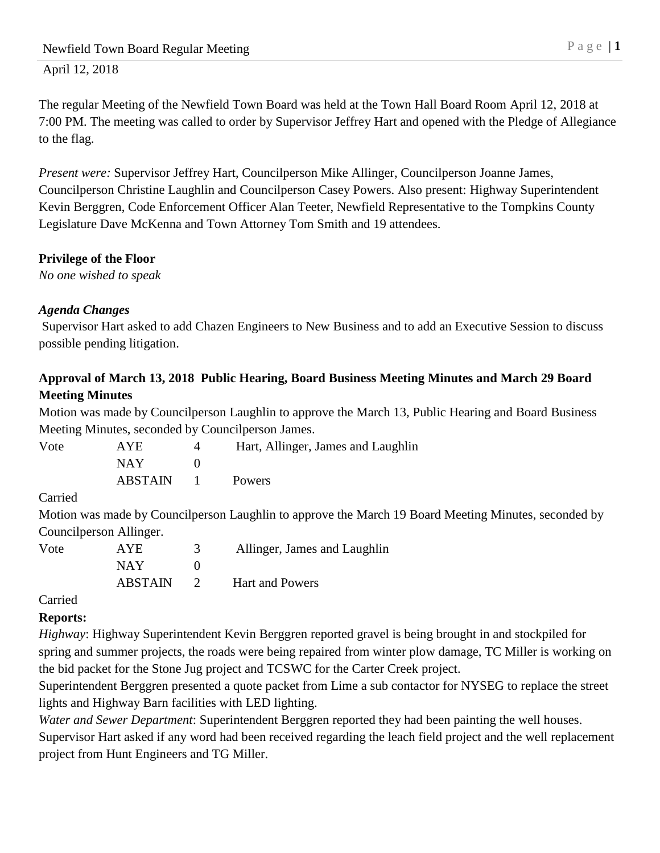The regular Meeting of the Newfield Town Board was held at the Town Hall Board Room April 12, 2018 at 7:00 PM. The meeting was called to order by Supervisor Jeffrey Hart and opened with the Pledge of Allegiance to the flag.

*Present were:* Supervisor Jeffrey Hart, Councilperson Mike Allinger, Councilperson Joanne James, Councilperson Christine Laughlin and Councilperson Casey Powers. Also present: Highway Superintendent Kevin Berggren, Code Enforcement Officer Alan Teeter, Newfield Representative to the Tompkins County Legislature Dave McKenna and Town Attorney Tom Smith and 19 attendees.

# **Privilege of the Floor**

*No one wished to speak*

# *Agenda Changes*

Supervisor Hart asked to add Chazen Engineers to New Business and to add an Executive Session to discuss possible pending litigation.

## **Approval of March 13, 2018 Public Hearing, Board Business Meeting Minutes and March 29 Board Meeting Minutes**

Motion was made by Councilperson Laughlin to approve the March 13, Public Hearing and Board Business Meeting Minutes, seconded by Councilperson James.

| Vote | AYE            |                  | Hart, Allinger, James and Laughlin |
|------|----------------|------------------|------------------------------------|
|      | NAY.           |                  |                                    |
|      | <b>ABSTAIN</b> | and the contract | <b>Powers</b>                      |

Carried

Motion was made by Councilperson Laughlin to approve the March 19 Board Meeting Minutes, seconded by Councilperson Allinger.

| Vote | AYE.           | Allinger, James and Laughlin |
|------|----------------|------------------------------|
|      | NAY.           |                              |
|      | <b>ABSTAIN</b> | <b>Hart and Powers</b>       |

Carried

# **Reports:**

*Highway*: Highway Superintendent Kevin Berggren reported gravel is being brought in and stockpiled for spring and summer projects, the roads were being repaired from winter plow damage, TC Miller is working on the bid packet for the Stone Jug project and TCSWC for the Carter Creek project.

Superintendent Berggren presented a quote packet from Lime a sub contactor for NYSEG to replace the street lights and Highway Barn facilities with LED lighting.

*Water and Sewer Department*: Superintendent Berggren reported they had been painting the well houses. Supervisor Hart asked if any word had been received regarding the leach field project and the well replacement

project from Hunt Engineers and TG Miller.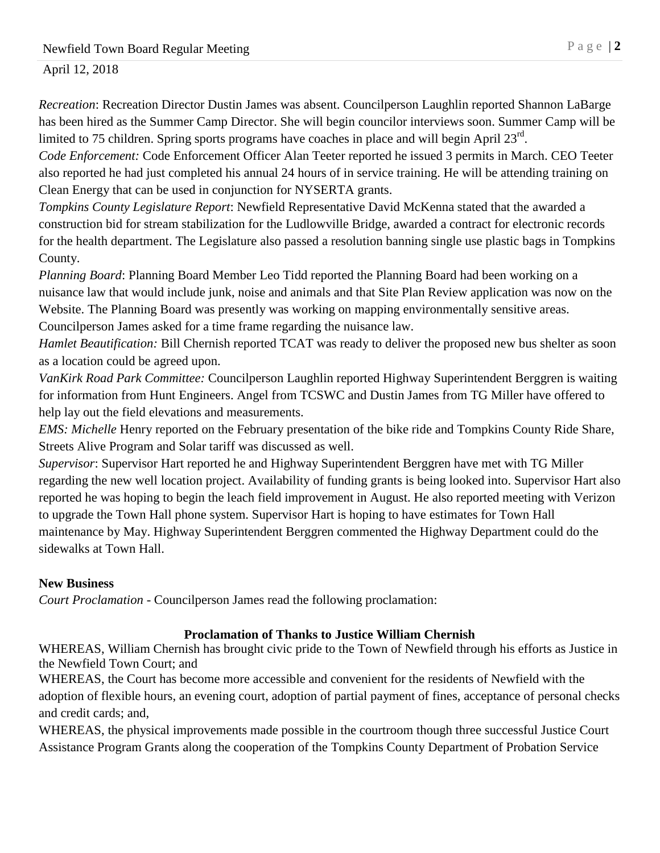*Recreation*: Recreation Director Dustin James was absent. Councilperson Laughlin reported Shannon LaBarge has been hired as the Summer Camp Director. She will begin councilor interviews soon. Summer Camp will be limited to 75 children. Spring sports programs have coaches in place and will begin April  $23^{\text{rd}}$ .

*Code Enforcement:* Code Enforcement Officer Alan Teeter reported he issued 3 permits in March. CEO Teeter also reported he had just completed his annual 24 hours of in service training. He will be attending training on Clean Energy that can be used in conjunction for NYSERTA grants.

*Tompkins County Legislature Report*: Newfield Representative David McKenna stated that the awarded a construction bid for stream stabilization for the Ludlowville Bridge, awarded a contract for electronic records for the health department. The Legislature also passed a resolution banning single use plastic bags in Tompkins County.

*Planning Board*: Planning Board Member Leo Tidd reported the Planning Board had been working on a nuisance law that would include junk, noise and animals and that Site Plan Review application was now on the Website. The Planning Board was presently was working on mapping environmentally sensitive areas. Councilperson James asked for a time frame regarding the nuisance law.

*Hamlet Beautification:* Bill Chernish reported TCAT was ready to deliver the proposed new bus shelter as soon as a location could be agreed upon.

*VanKirk Road Park Committee:* Councilperson Laughlin reported Highway Superintendent Berggren is waiting for information from Hunt Engineers. Angel from TCSWC and Dustin James from TG Miller have offered to help lay out the field elevations and measurements.

*EMS: Michelle* Henry reported on the February presentation of the bike ride and Tompkins County Ride Share, Streets Alive Program and Solar tariff was discussed as well.

*Supervisor*: Supervisor Hart reported he and Highway Superintendent Berggren have met with TG Miller regarding the new well location project. Availability of funding grants is being looked into. Supervisor Hart also reported he was hoping to begin the leach field improvement in August. He also reported meeting with Verizon to upgrade the Town Hall phone system. Supervisor Hart is hoping to have estimates for Town Hall maintenance by May. Highway Superintendent Berggren commented the Highway Department could do the sidewalks at Town Hall.

#### **New Business**

*Court Proclamation -* Councilperson James read the following proclamation:

#### **Proclamation of Thanks to Justice William Chernish**

WHEREAS, William Chernish has brought civic pride to the Town of Newfield through his efforts as Justice in the Newfield Town Court; and

WHEREAS, the Court has become more accessible and convenient for the residents of Newfield with the adoption of flexible hours, an evening court, adoption of partial payment of fines, acceptance of personal checks and credit cards; and,

WHEREAS, the physical improvements made possible in the courtroom though three successful Justice Court Assistance Program Grants along the cooperation of the Tompkins County Department of Probation Service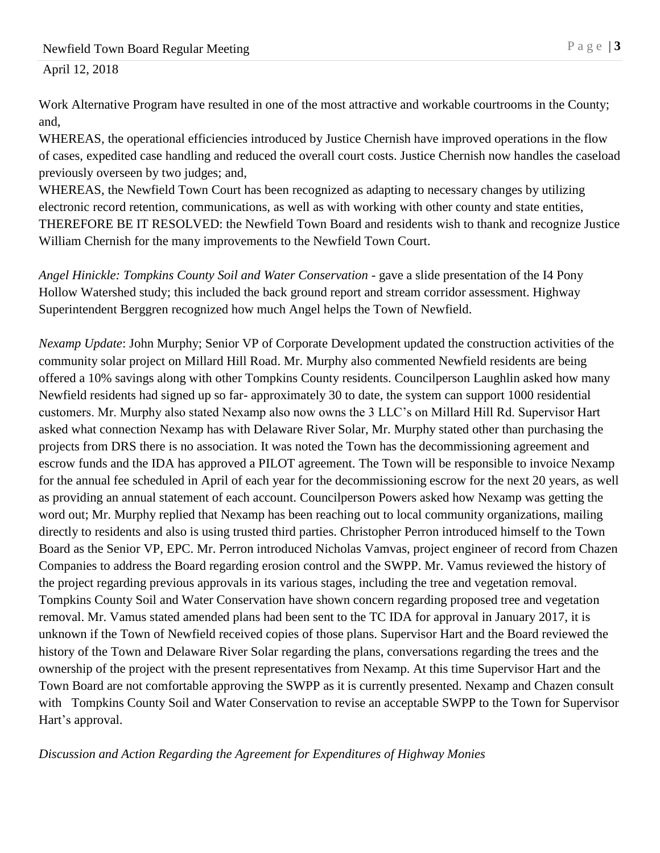Work Alternative Program have resulted in one of the most attractive and workable courtrooms in the County; and,

WHEREAS, the operational efficiencies introduced by Justice Chernish have improved operations in the flow of cases, expedited case handling and reduced the overall court costs. Justice Chernish now handles the caseload previously overseen by two judges; and,

WHEREAS, the Newfield Town Court has been recognized as adapting to necessary changes by utilizing electronic record retention, communications, as well as with working with other county and state entities, THEREFORE BE IT RESOLVED: the Newfield Town Board and residents wish to thank and recognize Justice William Chernish for the many improvements to the Newfield Town Court.

*Angel Hinickle: Tompkins County Soil and Water Conservation -* gave a slide presentation of the I4 Pony Hollow Watershed study; this included the back ground report and stream corridor assessment. Highway Superintendent Berggren recognized how much Angel helps the Town of Newfield.

*Nexamp Update*: John Murphy; Senior VP of Corporate Development updated the construction activities of the community solar project on Millard Hill Road. Mr. Murphy also commented Newfield residents are being offered a 10% savings along with other Tompkins County residents. Councilperson Laughlin asked how many Newfield residents had signed up so far- approximately 30 to date, the system can support 1000 residential customers. Mr. Murphy also stated Nexamp also now owns the 3 LLC's on Millard Hill Rd. Supervisor Hart asked what connection Nexamp has with Delaware River Solar, Mr. Murphy stated other than purchasing the projects from DRS there is no association. It was noted the Town has the decommissioning agreement and escrow funds and the IDA has approved a PILOT agreement. The Town will be responsible to invoice Nexamp for the annual fee scheduled in April of each year for the decommissioning escrow for the next 20 years, as well as providing an annual statement of each account. Councilperson Powers asked how Nexamp was getting the word out; Mr. Murphy replied that Nexamp has been reaching out to local community organizations, mailing directly to residents and also is using trusted third parties. Christopher Perron introduced himself to the Town Board as the Senior VP, EPC. Mr. Perron introduced Nicholas Vamvas, project engineer of record from Chazen Companies to address the Board regarding erosion control and the SWPP. Mr. Vamus reviewed the history of the project regarding previous approvals in its various stages, including the tree and vegetation removal. Tompkins County Soil and Water Conservation have shown concern regarding proposed tree and vegetation removal. Mr. Vamus stated amended plans had been sent to the TC IDA for approval in January 2017, it is unknown if the Town of Newfield received copies of those plans. Supervisor Hart and the Board reviewed the history of the Town and Delaware River Solar regarding the plans, conversations regarding the trees and the ownership of the project with the present representatives from Nexamp. At this time Supervisor Hart and the Town Board are not comfortable approving the SWPP as it is currently presented. Nexamp and Chazen consult with Tompkins County Soil and Water Conservation to revise an acceptable SWPP to the Town for Supervisor Hart's approval.

*Discussion and Action Regarding the Agreement for Expenditures of Highway Monies*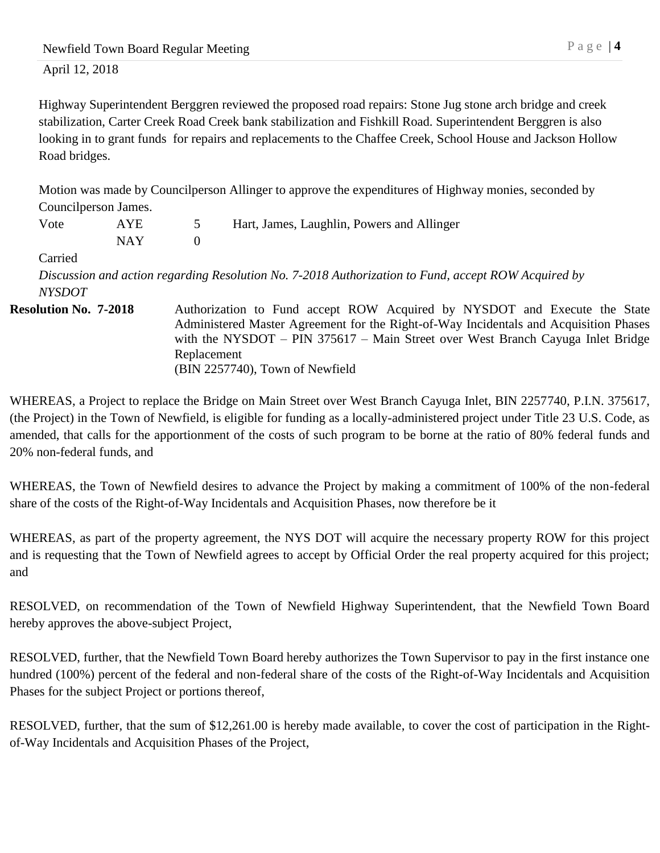Highway Superintendent Berggren reviewed the proposed road repairs: Stone Jug stone arch bridge and creek stabilization, Carter Creek Road Creek bank stabilization and Fishkill Road. Superintendent Berggren is also looking in to grant funds for repairs and replacements to the Chaffee Creek, School House and Jackson Hollow Road bridges.

Motion was made by Councilperson Allinger to approve the expenditures of Highway monies, seconded by Councilperson James.

| Vote                         | AYE        |                | Hart, James, Laughlin, Powers and Allinger                                                                                                                                                                                                                                                   |
|------------------------------|------------|----------------|----------------------------------------------------------------------------------------------------------------------------------------------------------------------------------------------------------------------------------------------------------------------------------------------|
|                              | <b>NAY</b> | $\overline{0}$ |                                                                                                                                                                                                                                                                                              |
| Carried                      |            |                |                                                                                                                                                                                                                                                                                              |
|                              |            |                | Discussion and action regarding Resolution No. 7-2018 Authorization to Fund, accept ROW Acquired by                                                                                                                                                                                          |
| <b>NYSDOT</b>                |            |                |                                                                                                                                                                                                                                                                                              |
| <b>Resolution No. 7-2018</b> |            | Replacement    | Authorization to Fund accept ROW Acquired by NYSDOT and Execute the State<br>Administered Master Agreement for the Right-of-Way Incidentals and Acquisition Phases<br>with the NYSDOT $-$ PIN 375617 $-$ Main Street over West Branch Cayuga Inlet Bridge<br>(BIN 2257740), Town of Newfield |

WHEREAS, a Project to replace the Bridge on Main Street over West Branch Cayuga Inlet, BIN 2257740, P.I.N. 375617, (the Project) in the Town of Newfield, is eligible for funding as a locally-administered project under Title 23 U.S. Code, as amended, that calls for the apportionment of the costs of such program to be borne at the ratio of 80% federal funds and 20% non-federal funds, and

WHEREAS, the Town of Newfield desires to advance the Project by making a commitment of 100% of the non-federal share of the costs of the Right-of-Way Incidentals and Acquisition Phases, now therefore be it

WHEREAS, as part of the property agreement, the NYS DOT will acquire the necessary property ROW for this project and is requesting that the Town of Newfield agrees to accept by Official Order the real property acquired for this project; and

RESOLVED, on recommendation of the Town of Newfield Highway Superintendent, that the Newfield Town Board hereby approves the above-subject Project,

RESOLVED, further, that the Newfield Town Board hereby authorizes the Town Supervisor to pay in the first instance one hundred (100%) percent of the federal and non-federal share of the costs of the Right-of-Way Incidentals and Acquisition Phases for the subject Project or portions thereof,

RESOLVED, further, that the sum of \$12,261.00 is hereby made available, to cover the cost of participation in the Rightof-Way Incidentals and Acquisition Phases of the Project,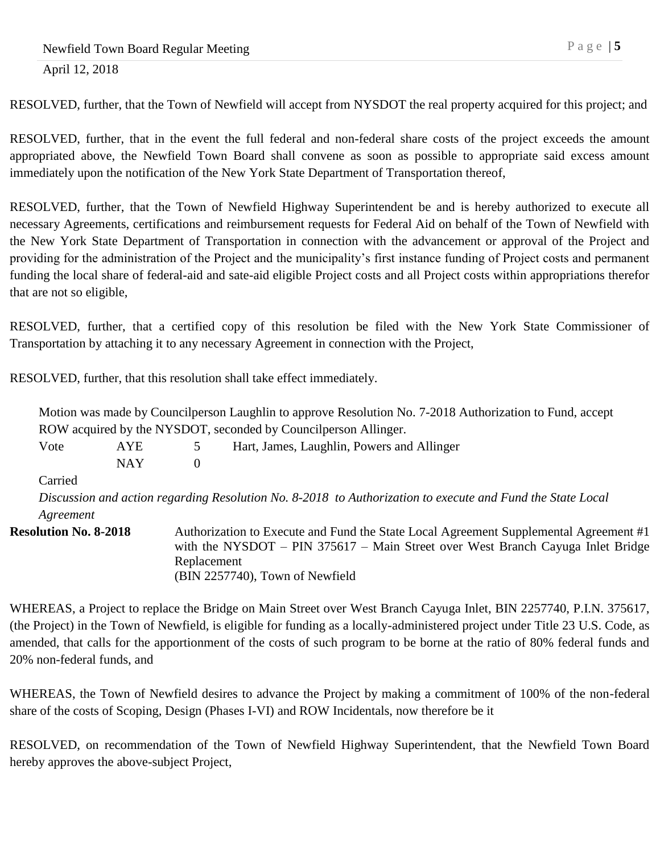RESOLVED, further, that the Town of Newfield will accept from NYSDOT the real property acquired for this project; and

RESOLVED, further, that in the event the full federal and non-federal share costs of the project exceeds the amount appropriated above, the Newfield Town Board shall convene as soon as possible to appropriate said excess amount immediately upon the notification of the New York State Department of Transportation thereof,

RESOLVED, further, that the Town of Newfield Highway Superintendent be and is hereby authorized to execute all necessary Agreements, certifications and reimbursement requests for Federal Aid on behalf of the Town of Newfield with the New York State Department of Transportation in connection with the advancement or approval of the Project and providing for the administration of the Project and the municipality's first instance funding of Project costs and permanent funding the local share of federal-aid and sate-aid eligible Project costs and all Project costs within appropriations therefor that are not so eligible,

RESOLVED, further, that a certified copy of this resolution be filed with the New York State Commissioner of Transportation by attaching it to any necessary Agreement in connection with the Project,

RESOLVED, further, that this resolution shall take effect immediately.

| Motion was made by Council person Laughlin to approve Resolution No. 7-2018 Authorization to Fund, accept |            |              |                                                                                                                                                                                                             |  |  |
|-----------------------------------------------------------------------------------------------------------|------------|--------------|-------------------------------------------------------------------------------------------------------------------------------------------------------------------------------------------------------------|--|--|
| ROW acquired by the NYSDOT, seconded by Councilperson Allinger.                                           |            |              |                                                                                                                                                                                                             |  |  |
| Vote                                                                                                      | AYE        | 5            | Hart, James, Laughlin, Powers and Allinger                                                                                                                                                                  |  |  |
|                                                                                                           | <b>NAY</b> | $\mathbf{0}$ |                                                                                                                                                                                                             |  |  |
| Carried                                                                                                   |            |              |                                                                                                                                                                                                             |  |  |
|                                                                                                           |            |              | Discussion and action regarding Resolution No. 8-2018 to Authorization to execute and Fund the State Local                                                                                                  |  |  |
| Agreement                                                                                                 |            |              |                                                                                                                                                                                                             |  |  |
| <b>Resolution No. 8-2018</b>                                                                              |            | Replacement  | Authorization to Execute and Fund the State Local Agreement Supplemental Agreement #1<br>with the NYSDOT – PIN 375617 – Main Street over West Branch Cayuga Inlet Bridge<br>(BIN 2257740), Town of Newfield |  |  |

WHEREAS, a Project to replace the Bridge on Main Street over West Branch Cayuga Inlet, BIN 2257740, P.I.N. 375617, (the Project) in the Town of Newfield, is eligible for funding as a locally-administered project under Title 23 U.S. Code, as amended, that calls for the apportionment of the costs of such program to be borne at the ratio of 80% federal funds and 20% non-federal funds, and

WHEREAS, the Town of Newfield desires to advance the Project by making a commitment of 100% of the non-federal share of the costs of Scoping, Design (Phases I-VI) and ROW Incidentals, now therefore be it

RESOLVED, on recommendation of the Town of Newfield Highway Superintendent, that the Newfield Town Board hereby approves the above-subject Project,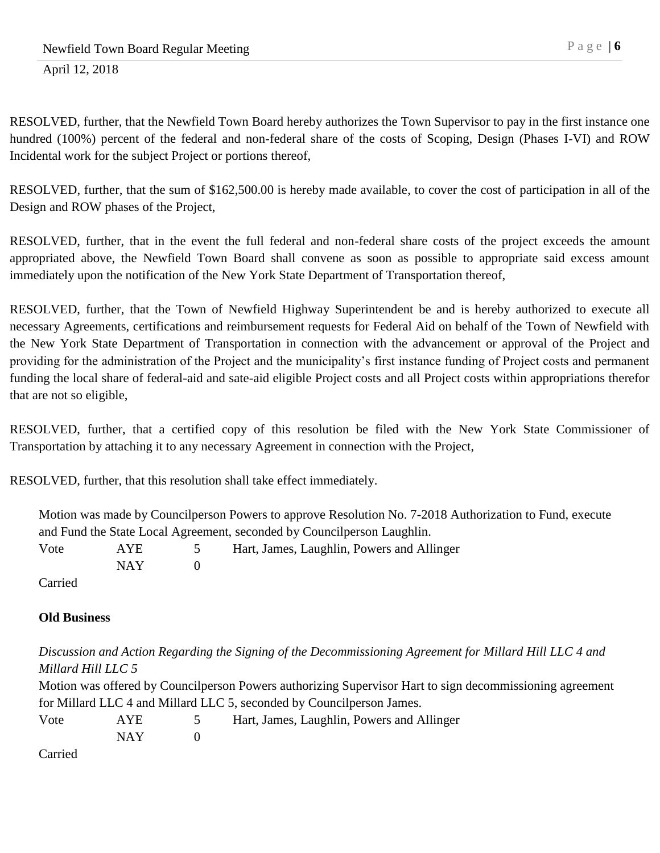RESOLVED, further, that the Newfield Town Board hereby authorizes the Town Supervisor to pay in the first instance one hundred (100%) percent of the federal and non-federal share of the costs of Scoping, Design (Phases I-VI) and ROW Incidental work for the subject Project or portions thereof,

RESOLVED, further, that the sum of \$162,500.00 is hereby made available, to cover the cost of participation in all of the Design and ROW phases of the Project,

RESOLVED, further, that in the event the full federal and non-federal share costs of the project exceeds the amount appropriated above, the Newfield Town Board shall convene as soon as possible to appropriate said excess amount immediately upon the notification of the New York State Department of Transportation thereof,

RESOLVED, further, that the Town of Newfield Highway Superintendent be and is hereby authorized to execute all necessary Agreements, certifications and reimbursement requests for Federal Aid on behalf of the Town of Newfield with the New York State Department of Transportation in connection with the advancement or approval of the Project and providing for the administration of the Project and the municipality's first instance funding of Project costs and permanent funding the local share of federal-aid and sate-aid eligible Project costs and all Project costs within appropriations therefor that are not so eligible,

RESOLVED, further, that a certified copy of this resolution be filed with the New York State Commissioner of Transportation by attaching it to any necessary Agreement in connection with the Project,

RESOLVED, further, that this resolution shall take effect immediately.

| Motion was made by Councilperson Powers to approve Resolution No. 7-2018 Authorization to Fund, execute |         |            |               |                                            |  |
|---------------------------------------------------------------------------------------------------------|---------|------------|---------------|--------------------------------------------|--|
| and Fund the State Local Agreement, seconded by Council person Laughlin.                                |         |            |               |                                            |  |
|                                                                                                         | Vote    | AYE        | $\mathcal{D}$ | Hart, James, Laughlin, Powers and Allinger |  |
|                                                                                                         |         | <b>NAY</b> |               |                                            |  |
|                                                                                                         | Carried |            |               |                                            |  |

# **Old Business**

*Discussion and Action Regarding the Signing of the Decommissioning Agreement for Millard Hill LLC 4 and Millard Hill LLC 5*

Motion was offered by Councilperson Powers authorizing Supervisor Hart to sign decommissioning agreement for Millard LLC 4 and Millard LLC 5, seconded by Councilperson James.

| Vote | AYE   | Hart, James, Laughlin, Powers and Allinger |
|------|-------|--------------------------------------------|
|      | NAY 1 |                                            |
|      |       |                                            |

Carried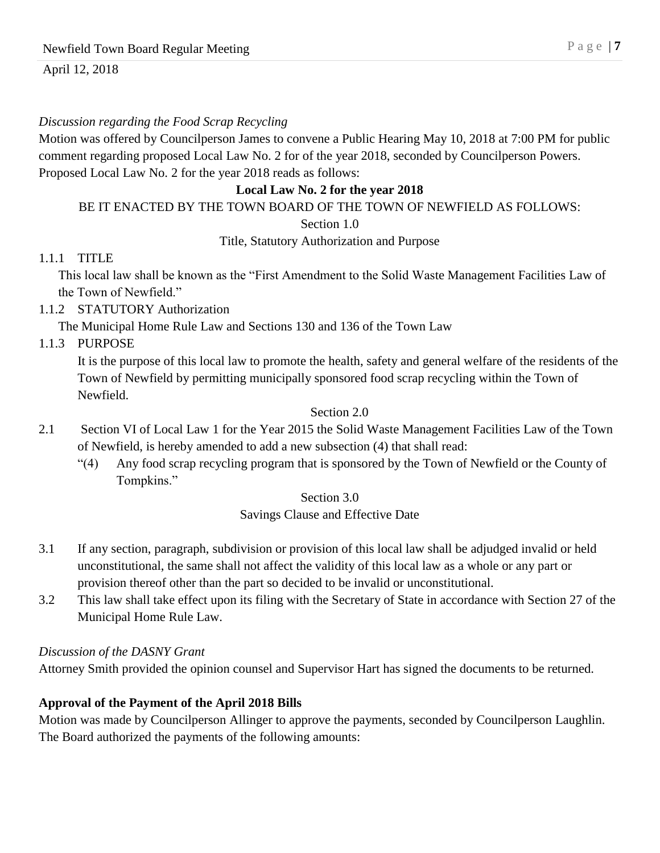#### *Discussion regarding the Food Scrap Recycling*

Motion was offered by Councilperson James to convene a Public Hearing May 10, 2018 at 7:00 PM for public comment regarding proposed Local Law No. 2 for of the year 2018, seconded by Councilperson Powers. Proposed Local Law No. 2 for the year 2018 reads as follows:

## **Local Law No. 2 for the year 2018**

### BE IT ENACTED BY THE TOWN BOARD OF THE TOWN OF NEWFIELD AS FOLLOWS:

Section 1.0

Title, Statutory Authorization and Purpose

#### 1.1.1 TITLE

This local law shall be known as the "First Amendment to the Solid Waste Management Facilities Law of the Town of Newfield."

1.1.2 STATUTORY Authorization

The Municipal Home Rule Law and Sections 130 and 136 of the Town Law

1.1.3 PURPOSE

It is the purpose of this local law to promote the health, safety and general welfare of the residents of the Town of Newfield by permitting municipally sponsored food scrap recycling within the Town of Newfield.

#### Section 2.0

- 2.1 Section VI of Local Law 1 for the Year 2015 the Solid Waste Management Facilities Law of the Town of Newfield, is hereby amended to add a new subsection (4) that shall read:
	- "(4) Any food scrap recycling program that is sponsored by the Town of Newfield or the County of Tompkins."

Section 3.0

## Savings Clause and Effective Date

- 3.1 If any section, paragraph, subdivision or provision of this local law shall be adjudged invalid or held unconstitutional, the same shall not affect the validity of this local law as a whole or any part or provision thereof other than the part so decided to be invalid or unconstitutional.
- 3.2 This law shall take effect upon its filing with the Secretary of State in accordance with Section 27 of the Municipal Home Rule Law.

#### *Discussion of the DASNY Grant*

Attorney Smith provided the opinion counsel and Supervisor Hart has signed the documents to be returned.

## **Approval of the Payment of the April 2018 Bills**

Motion was made by Councilperson Allinger to approve the payments, seconded by Councilperson Laughlin. The Board authorized the payments of the following amounts: